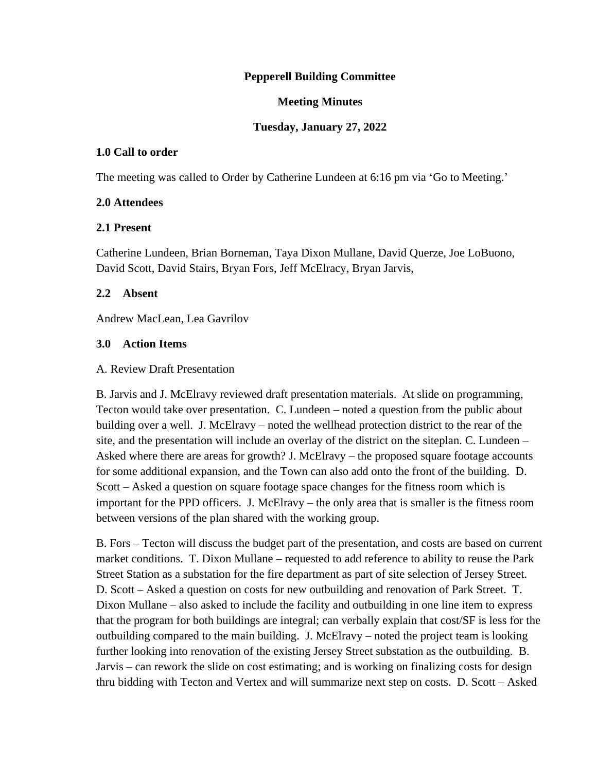### **Pepperell Building Committee**

### **Meeting Minutes**

### **Tuesday, January 27, 2022**

#### **1.0 Call to order**

The meeting was called to Order by Catherine Lundeen at 6:16 pm via 'Go to Meeting.'

#### **2.0 Attendees**

#### **2.1 Present**

Catherine Lundeen, Brian Borneman, Taya Dixon Mullane, David Querze, Joe LoBuono, David Scott, David Stairs, Bryan Fors, Jeff McElracy, Bryan Jarvis,

#### **2.2 Absent**

Andrew MacLean, Lea Gavrilov

#### **3.0 Action Items**

#### A. Review Draft Presentation

B. Jarvis and J. McElravy reviewed draft presentation materials. At slide on programming, Tecton would take over presentation. C. Lundeen – noted a question from the public about building over a well. J. McElravy – noted the wellhead protection district to the rear of the site, and the presentation will include an overlay of the district on the siteplan. C. Lundeen – Asked where there are areas for growth? J. McElravy – the proposed square footage accounts for some additional expansion, and the Town can also add onto the front of the building. D. Scott – Asked a question on square footage space changes for the fitness room which is important for the PPD officers. J. McElravy – the only area that is smaller is the fitness room between versions of the plan shared with the working group.

B. Fors – Tecton will discuss the budget part of the presentation, and costs are based on current market conditions. T. Dixon Mullane – requested to add reference to ability to reuse the Park Street Station as a substation for the fire department as part of site selection of Jersey Street. D. Scott – Asked a question on costs for new outbuilding and renovation of Park Street. T. Dixon Mullane – also asked to include the facility and outbuilding in one line item to express that the program for both buildings are integral; can verbally explain that cost/SF is less for the outbuilding compared to the main building. J. McElravy – noted the project team is looking further looking into renovation of the existing Jersey Street substation as the outbuilding. B. Jarvis – can rework the slide on cost estimating; and is working on finalizing costs for design thru bidding with Tecton and Vertex and will summarize next step on costs. D. Scott – Asked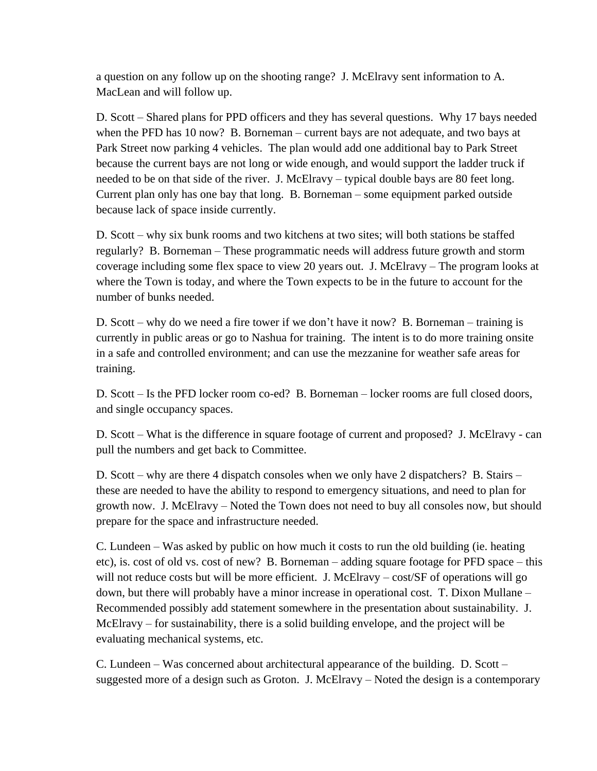a question on any follow up on the shooting range? J. McElravy sent information to A. MacLean and will follow up.

D. Scott – Shared plans for PPD officers and they has several questions. Why 17 bays needed when the PFD has 10 now? B. Borneman – current bays are not adequate, and two bays at Park Street now parking 4 vehicles. The plan would add one additional bay to Park Street because the current bays are not long or wide enough, and would support the ladder truck if needed to be on that side of the river. J. McElravy – typical double bays are 80 feet long. Current plan only has one bay that long. B. Borneman – some equipment parked outside because lack of space inside currently.

D. Scott – why six bunk rooms and two kitchens at two sites; will both stations be staffed regularly? B. Borneman – These programmatic needs will address future growth and storm coverage including some flex space to view 20 years out. J. McElravy – The program looks at where the Town is today, and where the Town expects to be in the future to account for the number of bunks needed.

D. Scott – why do we need a fire tower if we don't have it now? B. Borneman – training is currently in public areas or go to Nashua for training. The intent is to do more training onsite in a safe and controlled environment; and can use the mezzanine for weather safe areas for training.

D. Scott – Is the PFD locker room co-ed? B. Borneman – locker rooms are full closed doors, and single occupancy spaces.

D. Scott – What is the difference in square footage of current and proposed? J. McElravy - can pull the numbers and get back to Committee.

D. Scott – why are there 4 dispatch consoles when we only have 2 dispatchers? B. Stairs – these are needed to have the ability to respond to emergency situations, and need to plan for growth now. J. McElravy – Noted the Town does not need to buy all consoles now, but should prepare for the space and infrastructure needed.

C. Lundeen – Was asked by public on how much it costs to run the old building (ie. heating etc), is. cost of old vs. cost of new? B. Borneman – adding square footage for PFD space – this will not reduce costs but will be more efficient. J. McElravy – cost/SF of operations will go down, but there will probably have a minor increase in operational cost. T. Dixon Mullane – Recommended possibly add statement somewhere in the presentation about sustainability. J. McElravy – for sustainability, there is a solid building envelope, and the project will be evaluating mechanical systems, etc.

C. Lundeen – Was concerned about architectural appearance of the building. D. Scott – suggested more of a design such as Groton. J. McElravy – Noted the design is a contemporary